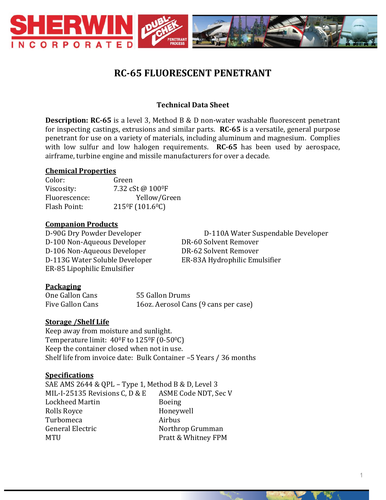

# **RC-65 FLUORESCENT PENETRANT**

## **Technical Data Sheet**

**Description: RC-65** is a level 3, Method B & D non-water washable fluorescent penetrant for inspecting castings, extrusions and similar parts. **RC-65** is a versatile, general purpose penetrant for use on a variety of materials, including aluminum and magnesium. Complies with low sulfur and low halogen requirements. **RC-65** has been used by aerospace, airframe, turbine engine and missile manufacturers for over a decade.

#### **Chemical Properties**

Color: Green Viscosity: 7.32 cSt @ 100<sup>0</sup>F Fluorescence: Yellow/Green Flash Point: 215<sup>0</sup>F (101.6<sup>0</sup>C)

#### **Companion Products**

D-100 Non-Aqueous Developer DR-60 Solvent Remover D-106 Non-Aqueous Developer DR-62 Solvent Remover D-113G Water Soluble Developer ER-83A Hydrophilic Emulsifier ER-85 Lipophilic Emulsifier

D-90G Dry Powder Developer D-110A Water Suspendable Developer

## **Packaging**

| One Gallon Cans  | 55 Gallon Drums                      |  |
|------------------|--------------------------------------|--|
| Five Gallon Cans | 160z. Aerosol Cans (9 cans per case) |  |

## **Storage /Shelf Life**

Keep away from moisture and sunlight. Temperature limit: 40<sup>o</sup>F to 125<sup>o</sup>F (0-50<sup>o</sup>C) Keep the container closed when not in use. Shelf life from invoice date: Bulk Container –5 Years / 36 months

## **Specifications**

SAE AMS 2644 & QPL – Type 1, Method B & D, Level 3 MIL-I-25135 Revisions C, D & E ASME Code NDT, Sec V Lockheed Martin Boeing Rolls Royce **Honeywell** Turbomeca Airbus General Electric Northrop Grumman MTU Pratt & Whitney FPM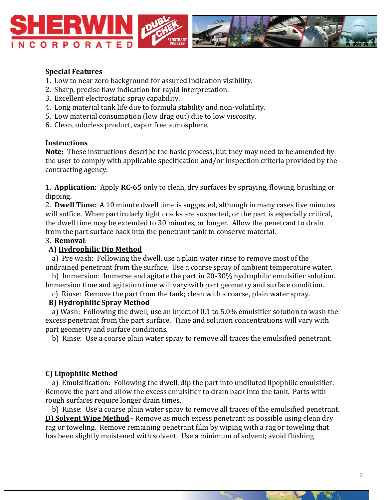

#### **Special Features**

- 1. Low to near zero background for assured indication visibility.
- 2. Sharp, precise flaw indication for rapid interpretation.
- 3. Excellent electrostatic spray capability.
- 4. Long material tank life due to formula stability and non-volatility.
- 5. Low material consumption (low drag out) due to low viscosity.
- 6. Clean, odorless product, vapor free atmosphere.

#### **Instructions**

**Note:** These instructions describe the basic process, but they may need to be amended by the user to comply with applicable specification and/or inspection criteria provided by the contracting agency.

1. **Application:** Apply **RC-65** only to clean, dry surfaces by spraying, flowing, brushing or dipping.

2. **Dwell Time:** A 10 minute dwell time is suggested, although in many cases five minutes will suffice. When particularly tight cracks are suspected, or the part is especially critical, the dwell time may be extended to 30 minutes, or longer. Allow the penetrant to drain from the part surface back into the penetrant tank to conserve material.

#### 3. **Removal**:

#### **A) Hydrophilic Dip Method**

 a) Pre wash: Following the dwell, use a plain water rinse to remove most of the undrained penetrant from the surface. Use a coarse spray of ambient temperature water.

 b) Immersion: Immerse and agitate the part in 20-30% hydrophilic emulsifier solution. Immersion time and agitation time will vary with part geometry and surface condition.

c) Rinse: Remove the part from the tank; clean with a coarse, plain water spray.

#### **B) Hydrophilic Spray Method**

 a) Wash: Following the dwell, use an inject of 0.1 to 5.0% emulsifier solution to wash the excess penetrant from the part surface. Time and solution concentrations will vary with part geometry and surface conditions.

b) Rinse: Use a coarse plain water spray to remove all traces the emulsified penetrant.

#### **C) Lipophilic Method**

 a) Emulsification: Following the dwell, dip the part into undiluted lipophilic emulsifier. Remove the part and allow the excess emulsifier to drain back into the tank. Parts with rough surfaces require longer drain times.

 b) Rinse: Use a coarse plain water spray to remove all traces of the emulsified penetrant. **D) Solvent Wipe Method** - Remove as much excess penetrant as possible using clean dry rag or toweling. Remove remaining penetrant film by wiping with a rag or toweling that has been slightly moistened with solvent. Use a minimum of solvent; avoid flushing